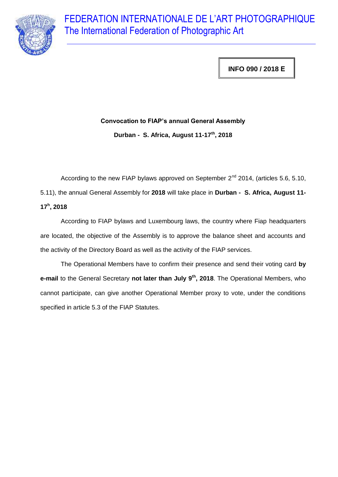

**INFO 090 / 2018 Ε**

## **Convocation to FIAP's annual General Assembly**

**Durban - S. Africa, August 11-17th, 2018**

According to the new FIAP bylaws approved on September  $2^{nd}$  2014, (articles 5.6, 5.10, 5.11), the annual General Assembly for **2018** will take place in **Durban - S. Africa, August 11- 17<sup>h</sup> , 2018**

According to FIAP bylaws and Luxembourg laws, the country where Fiap headquarters are located, the objective of the Assembly is to approve the balance sheet and accounts and the activity of the Directory Board as well as the activity of the FIAP services.

The Operational Members have to confirm their presence and send their voting card **by e-mail** to the General Secretary **not later than July 9 th, 2018**. The Operational Members, who cannot participate, can give another Operational Member proxy to vote, under the conditions specified in article 5.3 of the FIAP Statutes.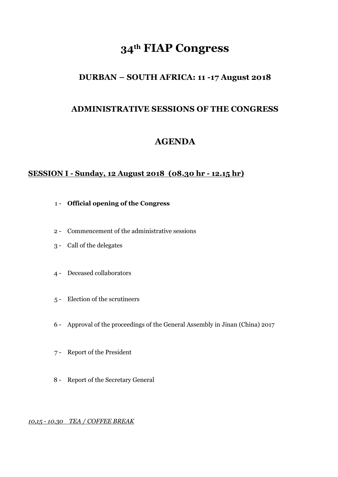# **34th FIAP Congress**

## **DURBAN – SOUTH AFRICA: 11 -17 August 2018**

## **ADMINISTRATIVE SESSIONS OF THE CONGRESS**

## **AGENDA**

### **SESSION I - Sunday, 12 August 2018 (08.30 hr - 12.15 hr)**

- 1 **Official opening of the Congress**
- 2 Commencement of the administrative sessions
- 3 Call of the delegates
- 4 Deceased collaborators
- 5 Election of the scrutineers
- 6 Approval of the proceedings of the General Assembly in Jinan (China) 2017
- 7 Report of the President
- 8 Report of the Secretary General

*10,15 - 10.30 TEA / COFFEE BREAK*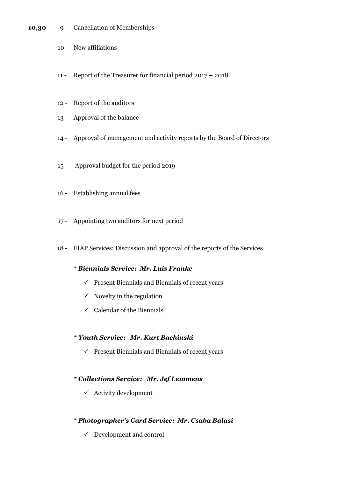#### **10,30** 9 - Cancellation of Memberships

- 10- New affiliations
- 11 Report of the Treasurer for financial period 2017 + 2018
- 12 Report of the auditors
- 13 Approval of the balance
- 14 Approval of management and activity reports by the Board of Directors
- 15 Approval budget for the period 2019
- 16 Establishing annual fees
- 17 Appointing two auditors for next period
- 18 FIAP Services: Discussion and approval of the reports of the Services

#### *\* Biennials Service: Mr. Luis Franke*

- $\checkmark$  Present Biennials and Biennials of recent years
- $\checkmark$  Novelty in the regulation
- $\checkmark$  Calendar of the Biennials

#### *\* Youth Service: Mr. Kurt Bachinski*

 $\checkmark$  Present Biennials and Biennials of recent years

#### *\* Collections Service: Mr. Jef Lemmens*

 $\checkmark$  Activity development

#### *\* Photographer's Card Service: Mr. Csaba Balasi*

 $\checkmark$  Development and control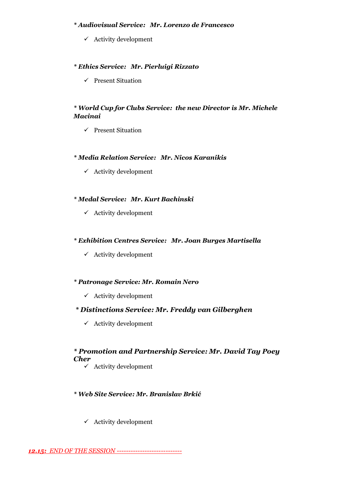#### *\* Audiovisual Service: Mr. Lorenzo de Francesco*

 $\checkmark$  Activity development

#### *\* Ethics Service: Mr. Pierluigi Rizzato*

 $\checkmark$  Present Situation

#### *\* World Cup for Clubs Service: the new Director is Mr. Michele Macinai*

 $\checkmark$  Present Situation

#### *\* Media Relation Service: Mr. Nicos Karanikis*

 $\checkmark$  Activity development

#### *\* Medal Service: Mr. Kurt Bachinski*

 $\checkmark$  Activity development

#### *\* Exhibition Centres Service: Mr. Joan Burges Martisella*

 $\checkmark$  Activity development

#### *\* Patronage Service: Mr. Romain Nero*

 $\checkmark$  Activity development

#### *\* Distinctions Service: Mr. Freddy van Gilberghen*

 $\checkmark$  Activity development

#### *\* Promotion and Partnership Service: Mr. David Tay Poey Cher*

 $\checkmark$  Activity development

#### *\* Web Site Service: Mr. Branislav Brkić*

 $\checkmark$  Activity development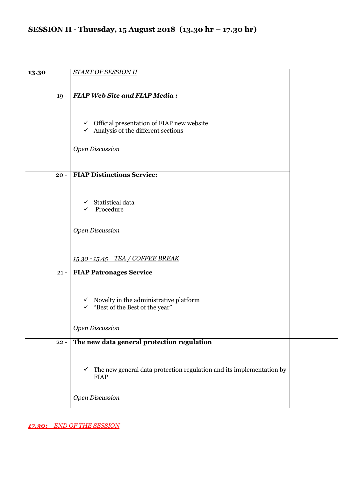## **SESSION II - Thursday, 15 August 2018 (13.30 hr – 17.30 hr)**

| 13.30 |        | <b>START OF SESSION II</b>                                                                          |  |
|-------|--------|-----------------------------------------------------------------------------------------------------|--|
|       |        |                                                                                                     |  |
|       | $19 -$ | <b>FIAP Web Site and FIAP Media:</b>                                                                |  |
|       |        |                                                                                                     |  |
|       |        |                                                                                                     |  |
|       |        | $\checkmark$ Official presentation of FIAP new website                                              |  |
|       |        | $\checkmark$ Analysis of the different sections                                                     |  |
|       |        | Open Discussion                                                                                     |  |
|       |        |                                                                                                     |  |
|       |        |                                                                                                     |  |
|       | $20 -$ | <b>FIAP Distinctions Service:</b>                                                                   |  |
|       |        |                                                                                                     |  |
|       |        | Statistical data<br>$\checkmark$                                                                    |  |
|       |        | Procedure<br>$\checkmark$                                                                           |  |
|       |        |                                                                                                     |  |
|       |        | <b>Open Discussion</b>                                                                              |  |
|       |        |                                                                                                     |  |
|       |        | 15.30 - 15.45 TEA / COFFEE BREAK                                                                    |  |
|       |        |                                                                                                     |  |
|       | $21 -$ | <b>FIAP Patronages Service</b>                                                                      |  |
|       |        |                                                                                                     |  |
|       |        | $\checkmark$ Novelty in the administrative platform                                                 |  |
|       |        | "Best of the Best of the year"<br>$\checkmark$                                                      |  |
|       |        |                                                                                                     |  |
|       |        | <b>Open Discussion</b>                                                                              |  |
|       | $22 -$ | The new data general protection regulation                                                          |  |
|       |        |                                                                                                     |  |
|       |        |                                                                                                     |  |
|       |        | The new general data protection regulation and its implementation by<br>$\checkmark$<br><b>FIAP</b> |  |
|       |        |                                                                                                     |  |
|       |        | <b>Open Discussion</b>                                                                              |  |
|       |        |                                                                                                     |  |